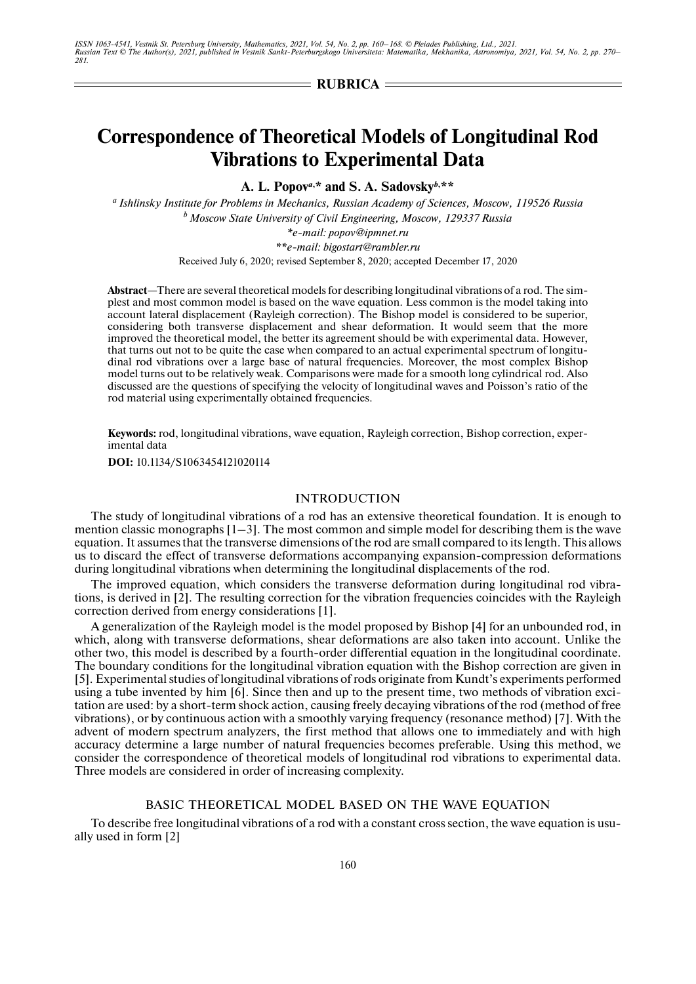$=$ **RUBRICA** $=$ 

# **Correspondence of Theoretical Models of Longitudinal Rod Vibrations to Experimental Data**

**A. L. Popov***a***, \* and S. A. Sadovsky***b***, \*\***

*a Ishlinsky Institute for Problems in Mechanics, Russian Academy of Sciences, Moscow, 119526 Russia b Moscow State University of Civil Engineering, Moscow, 129337 Russia \*e-mail: popov@ipmnet.ru \*\*e-mail: bigostart@rambler.ru*

Received July 6, 2020; revised September 8, 2020; accepted December 17, 2020

**Abstract**—There are several theoretical models for describing longitudinal vibrations of a rod. The simplest and most common model is based on the wave equation. Less common is the model taking into account lateral displacement (Rayleigh correction). The Bishop model is considered to be superior, considering both transverse displacement and shear deformation. It would seem that the more improved the theoretical model, the better its agreement should be with experimental data. However, that turns out not to be quite the case when compared to an actual experimental spectrum of longitudinal rod vibrations over a large base of natural frequencies. Moreover, the most complex Bishop model turns out to be relatively weak. Comparisons were made for a smooth long cylindrical rod. Also discussed are the questions of specifying the velocity of longitudinal waves and Poisson's ratio of the rod material using experimentally obtained frequencies.

**Keywords:** rod, longitudinal vibrations, wave equation, Rayleigh correction, Bishop correction, experimental data

**DOI:** 10.1134/S1063454121020114

#### INTRODUCTION

The study of longitudinal vibrations of a rod has an extensive theoretical foundation. It is enough to mention classic monographs [1–3]. The most common and simple model for describing them is the wave equation. It assumes that the transverse dimensions of the rod are small compared to its length. This allows us to discard the effect of transverse deformations accompanying expansion-compression deformations during longitudinal vibrations when determining the longitudinal displacements of the rod.

The improved equation, which considers the transverse deformation during longitudinal rod vibrations, is derived in [2]. The resulting correction for the vibration frequencies coincides with the Rayleigh correction derived from energy considerations [1].

A generalization of the Rayleigh model is the model proposed by Bishop [4] for an unbounded rod, in which, along with transverse deformations, shear deformations are also taken into account. Unlike the other two, this model is described by a fourth-order differential equation in the longitudinal coordinate. The boundary conditions for the longitudinal vibration equation with the Bishop correction are given in [5]. Experimental studies of longitudinal vibrations of rods originate from Kundt's experiments performed using a tube invented by him [6]. Since then and up to the present time, two methods of vibration excitation are used: by a short-term shock action, causing freely decaying vibrations of the rod (method of free vibrations), or by continuous action with a smoothly varying frequency (resonance method) [7]. With the advent of modern spectrum analyzers, the first method that allows one to immediately and with high accuracy determine a large number of natural frequencies becomes preferable. Using this method, we consider the correspondence of theoretical models of longitudinal rod vibrations to experimental data. Three models are considered in order of increasing complexity.

#### BASIC THEORETICAL MODEL BASED ON THE WAVE EQUATION

To describe free longitudinal vibrations of a rod with a constant cross section, the wave equation is usually used in form [2]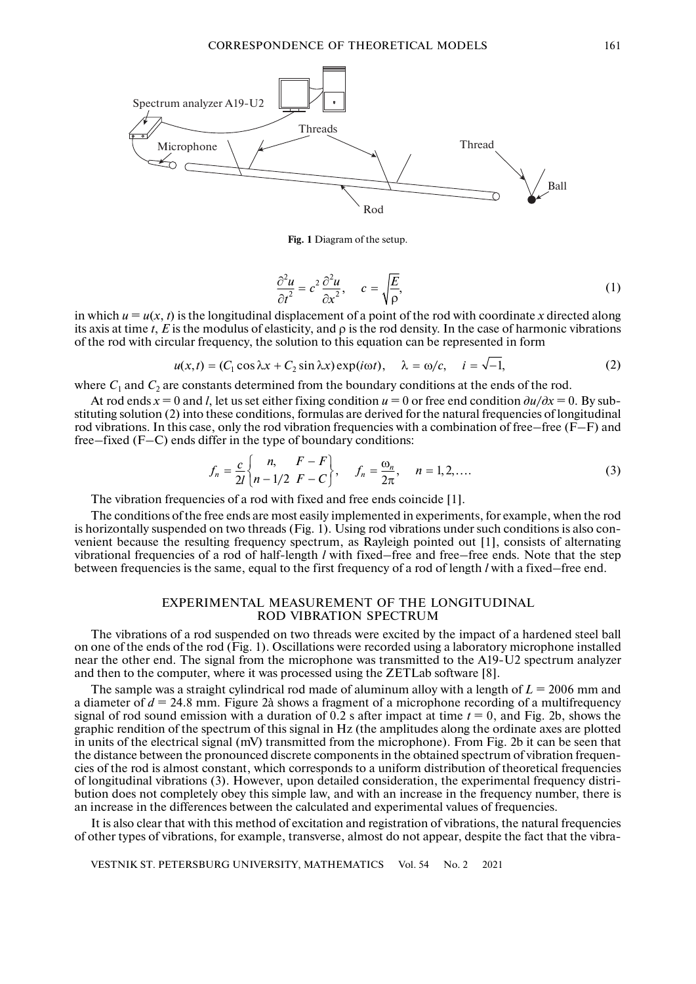

**Fig. 1** Diagram of the setup.

$$
\frac{\partial^2 u}{\partial t^2} = c^2 \frac{\partial^2 u}{\partial x^2}, \quad c = \sqrt{\frac{E}{\rho}},
$$
(1)

in which  $u = u(x, t)$  is the longitudinal displacement of a point of the rod with coordinate x directed along its axis at time *t*,  $E$  is the modulus of elasticity, and  $\rho$  is the rod density. In the case of harmonic vibrations of the rod with circular frequency, the solution to this equation can be represented in form

$$
u(x,t) = (C_1 \cos \lambda x + C_2 \sin \lambda x) \exp(i\omega t), \quad \lambda = \omega/c, \quad i = \sqrt{-1}, \tag{2}
$$

where  $C_1$  and  $C_2$  are constants determined from the boundary conditions at the ends of the rod.

At rod ends  $x = 0$  and *l*, let us set either fixing condition  $u = 0$  or free end condition  $\frac{\partial u}{\partial x} = 0$ . By substituting solution (2) into these conditions, formulas are derived for the natural frequencies of longitudinal rod vibrations. In this case, only the rod vibration frequencies with a combination of free–free  $(F-F)$  and free–fixed (F–C) ends differ in the type of boundary conditions:

$$
f_n = \frac{c}{2l} \begin{Bmatrix} n, & F - F \\ n - 1/2 & F - C \end{Bmatrix}, \quad f_n = \frac{\omega_n}{2\pi}, \quad n = 1, 2, .... \tag{3}
$$

The vibration frequencies of a rod with fixed and free ends coincide [1].

The conditions of the free ends are most easily implemented in experiments, for example, when the rod is horizontally suspended on two threads (Fig. 1). Using rod vibrations under such conditions is also convenient because the resulting frequency spectrum, as Rayleigh pointed out [1], consists of alternating vibrational frequencies of a rod of half-length *l* with fixed–free and free–free ends. Note that the step between frequencies is the same, equal to the first frequency of a rod of length *l* with a fixed–free end.

#### EXPERIMENTAL MEASUREMENT OF THE LONGITUDINAL ROD VIBRATION SPECTRUM

The vibrations of a rod suspended on two threads were excited by the impact of a hardened steel ball on one of the ends of the rod (Fig. 1). Oscillations were recorded using a laboratory microphone installed near the other end. The signal from the microphone was transmitted to the A19-U2 spectrum analyzer and then to the computer, where it was processed using the ZETLab software [8].

The sample was a straight cylindrical rod made of aluminum alloy with a length of *L* = 2006 mm and a diameter of  $d = 24.8$  mm. Figure 2à shows a fragment of a microphone recording of a multifrequency signal of rod sound emission with a duration of  $0.2$  s after impact at time  $t = 0$ , and Fig. 2b, shows the graphic rendition of the spectrum of this signal in Hz (the amplitudes along the ordinate axes are plotted in units of the electrical signal (mV) transmitted from the microphone). From Fig. 2b it can be seen that the distance between the pronounced discrete components in the obtained spectrum of vibration frequencies of the rod is almost constant, which corresponds to a uniform distribution of theoretical frequencies of longitudinal vibrations (3). However, upon detailed consideration, the experimental frequency distribution does not completely obey this simple law, and with an increase in the frequency number, there is an increase in the differences between the calculated and experimental values of frequencies.

It is also clear that with this method of excitation and registration of vibrations, the natural frequencies of other types of vibrations, for example, transverse, almost do not appear, despite the fact that the vibra-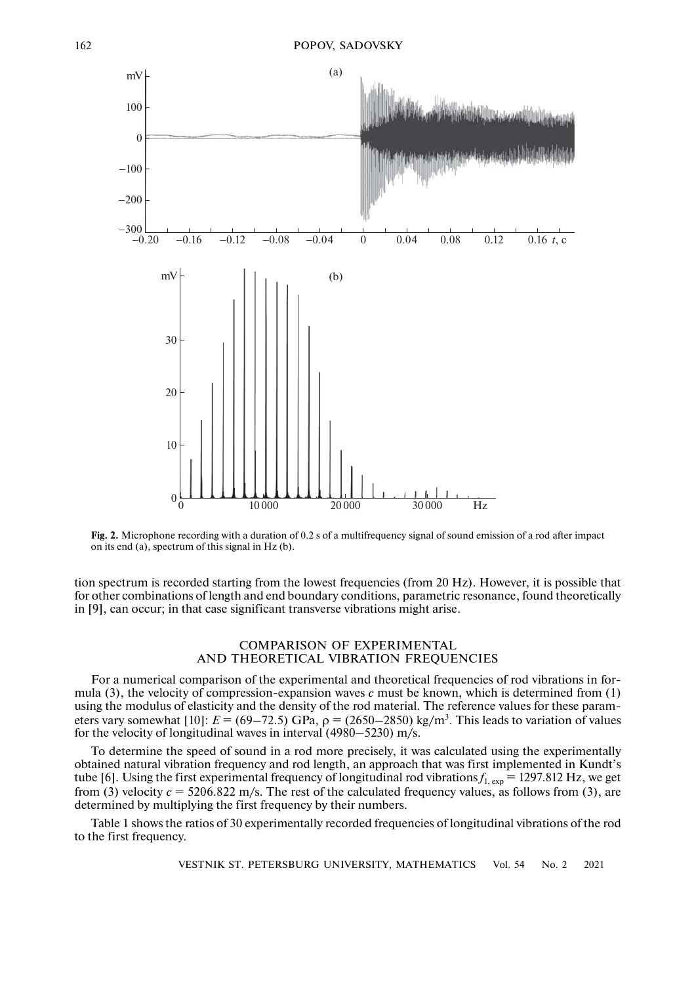



tion spectrum is recorded starting from the lowest frequencies (from 20 Hz). However, it is possible that for other combinations of length and end boundary conditions, parametric resonance, found theoretically in [9], can occur; in that case significant transverse vibrations might arise.

# COMPARISON OF EXPERIMENTAL AND THEORETICAL VIBRATION FREQUENCIES

For a numerical comparison of the experimental and theoretical frequencies of rod vibrations in formula (3), the velocity of compression-expansion waves *c* must be known, which is determined from (1) using the modulus of elasticity and the density of the rod material. The reference values for these parameters vary somewhat [10]:  $E = (69-72.5)$  GPa,  $\rho = (2650-2850)$  kg/m<sup>3</sup>. This leads to variation of values for the velocity of longitudinal waves in interval (4980–5230) m/s.

To determine the speed of sound in a rod more precisely, it was calculated using the experimentally obtained natural vibration frequency and rod length, an approach that was first implemented in Kundt's tube [6]. Using the first experimental frequency of longitudinal rod vibrations  $f_{1,exp}$  = 1297.812 Hz, we get from (3) velocity  $c = 5206.822$  m/s. The rest of the calculated frequency values, as follows from (3), are determined by multiplying the first frequency by their numbers.

Table 1 shows the ratios of 30 experimentally recorded frequencies of longitudinal vibrations of the rod to the first frequency.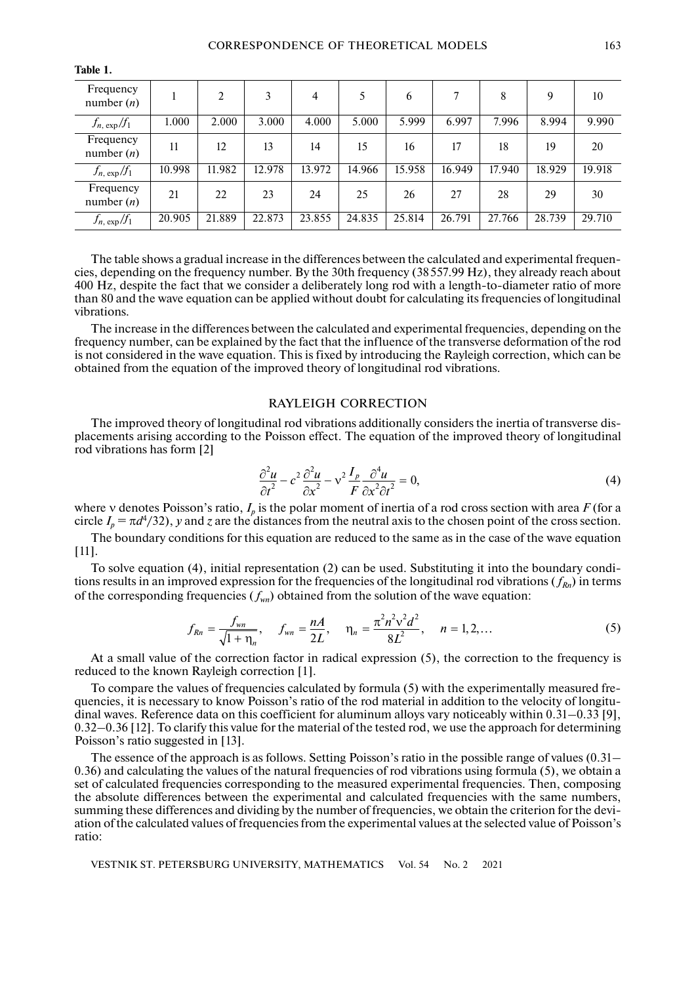| Frequency<br>number $(n)$ |        | 2      | 3      | 4      | 5      | 6      | 7      | 8      | 9      | 10     |
|---------------------------|--------|--------|--------|--------|--------|--------|--------|--------|--------|--------|
| $f_{n,exp}/f_1$           | 1.000  | 2.000  | 3.000  | 4.000  | 5.000  | 5.999  | 6.997  | 7.996  | 8.994  | 9.990  |
| Frequency<br>number $(n)$ | 11     | 12     | 13     | 14     | 15     | 16     | 17     | 18     | 19     | 20     |
| $f_{n,exp}/f_1$           | 10.998 | 11.982 | 12.978 | 13.972 | 14.966 | 15.958 | 16.949 | 17.940 | 18.929 | 19.918 |
| Frequency<br>number $(n)$ | 21     | 22     | 23     | 24     | 25     | 26     | 27     | 28     | 29     | 30     |
| $f_{n,exp}/f_1$           | 20.905 | 21.889 | 22.873 | 23.855 | 24.835 | 25.814 | 26.791 | 27.766 | 28.739 | 29.710 |

**Table 1.**

The table shows a gradual increase in the differences between the calculated and experimental frequencies, depending on the frequency number. By the 30th frequency (38557.99 Hz), they already reach about 400 Hz, despite the fact that we consider a deliberately long rod with a length-to-diameter ratio of more than 80 and the wave equation can be applied without doubt for calculating its frequencies of longitudinal vibrations.

The increase in the differences between the calculated and experimental frequencies, depending on the frequency number, can be explained by the fact that the influence of the transverse deformation of the rod is not considered in the wave equation. This is fixed by introducing the Rayleigh correction, which can be obtained from the equation of the improved theory of longitudinal rod vibrations.

### RAYLEIGH CORRECTION

The improved theory of longitudinal rod vibrations additionally considers the inertia of transverse displacements arising according to the Poisson effect. The equation of the improved theory of longitudinal rod vibrations has form [2]

$$
\frac{\partial^2 u}{\partial t^2} - c^2 \frac{\partial^2 u}{\partial x^2} - v^2 \frac{I_p}{F} \frac{\partial^4 u}{\partial x^2 \partial t^2} = 0,
$$
\n(4)

where v denotes Poisson's ratio,  $I_p$  is the polar moment of inertia of a rod cross section with area  $F$  (for a circle  $I_p = \pi d^4/32$ , *y* and *z* are the distances from the neutral axis to the chosen point of the cross section.

The boundary conditions for this equation are reduced to the same as in the case of the wave equation [11].

To solve equation (4), initial representation (2) can be used. Substituting it into the boundary conditions results in an improved expression for the frequencies of the longitudinal rod vibrations  $(f_{Rn})$  in terms of the corresponding frequencies  $(f_{wn})$  obtained from the solution of the wave equation:

$$
f_{Rn} = \frac{f_{wn}}{\sqrt{1 + \eta_n}}, \quad f_{wn} = \frac{nA}{2L}, \quad \eta_n = \frac{\pi^2 n^2 v^2 d^2}{8L^2}, \quad n = 1, 2, ... \tag{5}
$$

At a small value of the correction factor in radical expression (5), the correction to the frequency is reduced to the known Rayleigh correction [1].

To compare the values of frequencies calculated by formula (5) with the experimentally measured frequencies, it is necessary to know Poisson's ratio of the rod material in addition to the velocity of longitudinal waves. Reference data on this coefficient for aluminum alloys vary noticeably within 0.31–0.33 [9], 0.32–0.36 [12]. To clarify this value for the material of the tested rod, we use the approach for determining Poisson's ratio suggested in [13].

The essence of the approach is as follows. Setting Poisson's ratio in the possible range of values (0.31– 0.36) and calculating the values of the natural frequencies of rod vibrations using formula (5), we obtain a set of calculated frequencies corresponding to the measured experimental frequencies. Then, composing the absolute differences between the experimental and calculated frequencies with the same numbers, summing these differences and dividing by the number of frequencies, we obtain the criterion for the deviation of the calculated values of frequencies from the experimental values at the selected value of Poisson's ratio: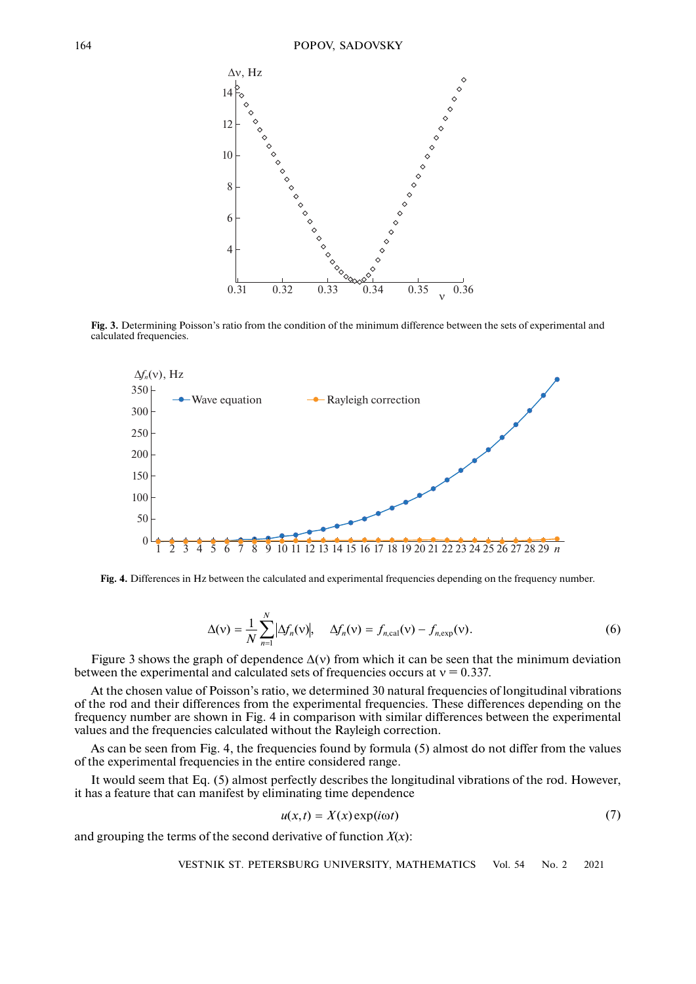

**Fig. 3.** Determining Poisson's ratio from the condition of the minimum difference between the sets of experimental and calculated frequencies.



**Fig. 4.** Differences in Hz between the calculated and experimental frequencies depending on the frequency number.

$$
\Delta(v) = \frac{1}{N} \sum_{n=1}^{N} |\Delta f_n(v)|, \quad \Delta f_n(v) = f_{n,\text{cal}}(v) - f_{n,\text{exp}}(v).
$$
 (6)

Figure 3 shows the graph of dependence  $\Delta(v)$  from which it can be seen that the minimum deviation between the experimental and calculated sets of frequencies occurs at  $v = 0.337$ .

At the chosen value of Poisson's ratio, we determined 30 natural frequencies of longitudinal vibrations of the rod and their differences from the experimental frequencies. These differences depending on the frequency number are shown in Fig. 4 in comparison with similar differences between the experimental values and the frequencies calculated without the Rayleigh correction.

As can be seen from Fig. 4, the frequencies found by formula (5) almost do not differ from the values of the experimental frequencies in the entire considered range.

It would seem that Eq. (5) almost perfectly describes the longitudinal vibrations of the rod. However, it has a feature that can manifest by eliminating time dependence

$$
u(x,t) = X(x) \exp(i\omega t) \tag{7}
$$

and grouping the terms of the second derivative of function  $X(x)$ :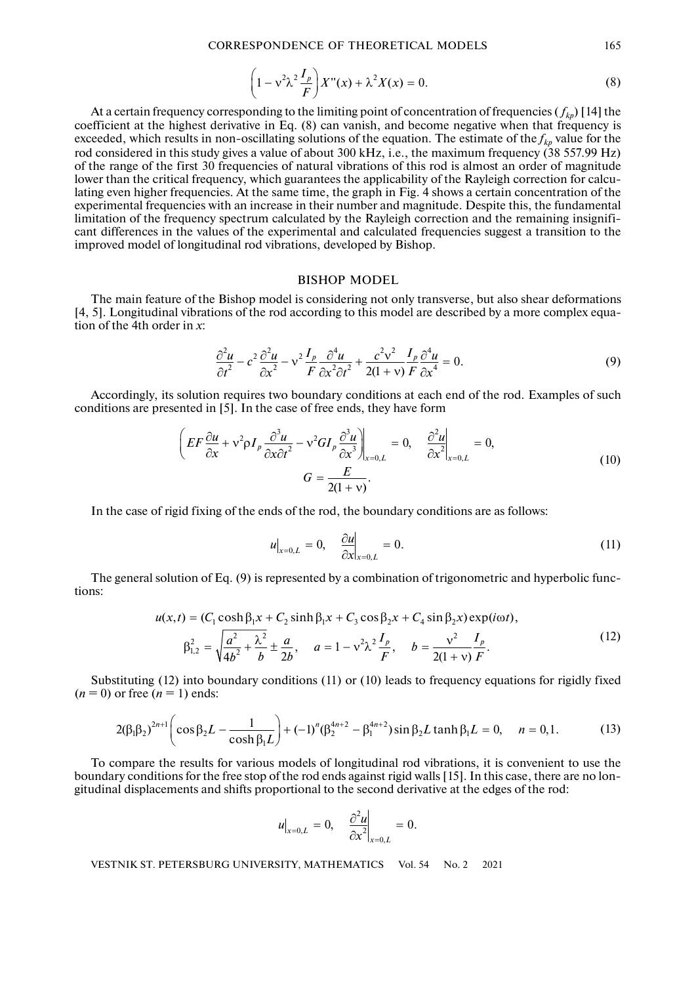CORRESPONDENCE OF THEORETICAL MODELS 165

$$
\left(1 - v^2 \lambda^2 \frac{I_p}{F}\right) X''(x) + \lambda^2 X(x) = 0. \tag{8}
$$

At a certain frequency corresponding to the limiting point of concentration of frequencies  $(f_{k\rho})$  [14] the coefficient at the highest derivative in Eq. (8) can vanish, and become negative when that frequency is exceeded, which results in non-oscillating solutions of the equation. The estimate of the  $f_{kp}$  value for the rod considered in this study gives a value of about 300 kHz, i.e., the maximum frequency (38 557.99 Hz) of the range of the first 30 frequencies of natural vibrations of this rod is almost an order of magnitude lower than the critical frequency, which guarantees the applicability of the Rayleigh correction for calculating even higher frequencies. At the same time, the graph in Fig. 4 shows a certain concentration of the experimental frequencies with an increase in their number and magnitude. Despite this, the fundamental limitation of the frequency spectrum calculated by the Rayleigh correction and the remaining insignificant differences in the values of the experimental and calculated frequencies suggest a transition to the improved model of longitudinal rod vibrations, developed by Bishop.

# BISHOP MODEL

The main feature of the Bishop model is considering not only transverse, but also shear deformations [4, 5]. Longitudinal vibrations of the rod according to this model are described by a more complex equation of the 4th order in *x*:

$$
\frac{\partial^2 u}{\partial t^2} - c^2 \frac{\partial^2 u}{\partial x^2} - v^2 \frac{I_p}{F} \frac{\partial^4 u}{\partial x^2 \partial t^2} + \frac{c^2 v^2}{2(1+v)} \frac{I_p}{F} \frac{\partial^4 u}{\partial x^4} = 0.
$$
\n(9)

Accordingly, its solution requires two boundary conditions at each end of the rod. Examples of such conditions are presented in [5]. In the case of free ends, they have form

$$
\left( EF \frac{\partial u}{\partial x} + v^2 \rho I_p \frac{\partial^3 u}{\partial x \partial t^2} - v^2 G I_p \frac{\partial^3 u}{\partial x^3} \right)_{x=0,L} = 0, \quad \frac{\partial^2 u}{\partial x^2} \Big|_{x=0,L} = 0,
$$
\n
$$
G = \frac{E}{2(1+v)}.
$$
\n(10)

In the case of rigid fixing of the ends of the rod, the boundary conditions are as follows:

$$
u\big|_{x=0,L} = 0, \quad \frac{\partial u}{\partial x}\big|_{x=0,L} = 0. \tag{11}
$$

The general solution of Eq. (9) is represented by a combination of trigonometric and hyperbolic functions:

$$
u(x,t) = (C_1 \cosh \beta_1 x + C_2 \sinh \beta_1 x + C_3 \cos \beta_2 x + C_4 \sin \beta_2 x) \exp(i\omega t),
$$
  

$$
\beta_{1,2}^2 = \sqrt{\frac{a^2}{4b^2} + \frac{\lambda^2}{b}} \pm \frac{a}{2b}, \quad a = 1 - \nu^2 \lambda^2 \frac{I_p}{F}, \quad b = \frac{\nu^2}{2(1+\nu)} \frac{I_p}{F}.
$$
 (12)

Substituting (12) into boundary conditions (11) or (10) leads to frequency equations for rigidly fixed  $(n=0)$  or free  $(n=1)$  ends:

$$
2(\beta_1\beta_2)^{2n+1}\left(\cos\beta_2L-\frac{1}{\cosh\beta_1L}\right)+(-1)^n(\beta_2^{4n+2}-\beta_1^{4n+2})\sin\beta_2L\tanh\beta_1L=0,\quad n=0,1.
$$
 (13)

To compare the results for various models of longitudinal rod vibrations, it is convenient to use the boundary conditions for the free stop of the rod ends against rigid walls [15]. In this case, there are no longitudinal displacements and shifts proportional to the second derivative at the edges of the rod:

$$
u\big|_{x=0,L}=0, \quad \frac{\partial^2 u}{\partial x^2}\big|_{x=0,L}=0.
$$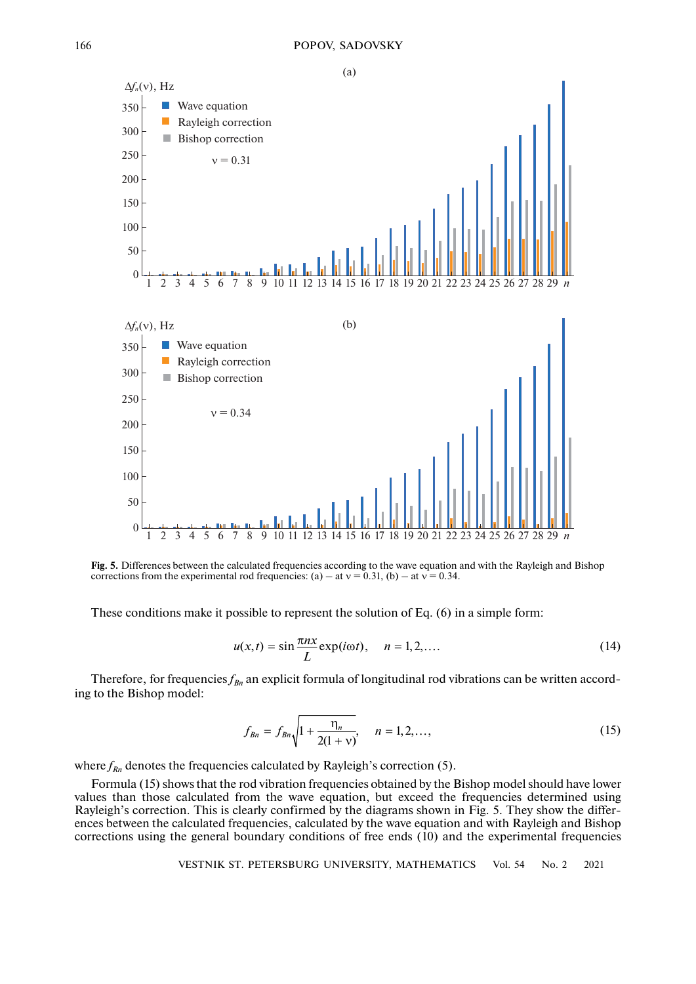

**Fig. 5.** Differences between the calculated frequencies according to the wave equation and with the Rayleigh and Bishop corrections from the experimental rod frequencies: (a) – at  $v = 0.31$ , (b) – at  $v = 0.34$ .

These conditions make it possible to represent the solution of Eq. (6) in a simple form:

$$
u(x,t) = \sin \frac{\pi nx}{L} \exp(i\omega t), \quad n = 1, 2, \dots
$$
 (14)

Therefore, for frequencies  $f_{Bn}$  an explicit formula of longitudinal rod vibrations can be written according to the Bishop model:

$$
f_{Bn} = f_{Bn} \sqrt{1 + \frac{\eta_n}{2(1 + \nu)}}, \quad n = 1, 2, ..., \tag{15}
$$

where  $f_{Rn}$  denotes the frequencies calculated by Rayleigh's correction (5).

Formula (15) shows that the rod vibration frequencies obtained by the Bishop model should have lower values than those calculated from the wave equation, but exceed the frequencies determined using Rayleigh's correction. This is clearly confirmed by the diagrams shown in Fig. 5. They show the differences between the calculated frequencies, calculated by the wave equation and with Rayleigh and Bishop corrections using the general boundary conditions of free ends (10) and the experimental frequencies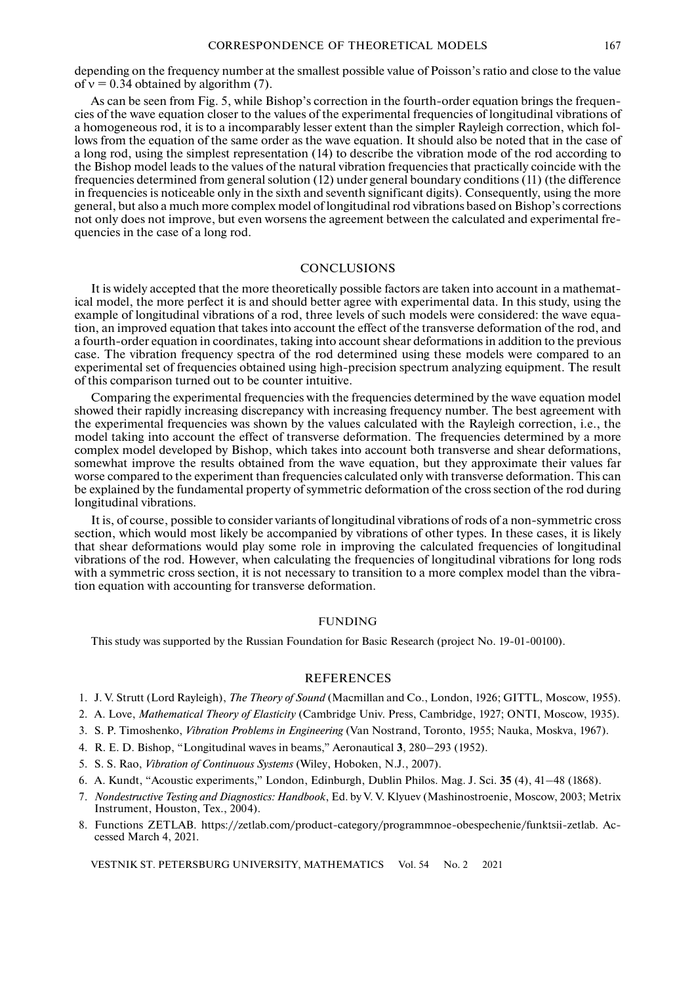depending on the frequency number at the smallest possible value of Poisson's ratio and close to the value of  $v = 0.34$  obtained by algorithm (7).

As can be seen from Fig. 5, while Bishop's correction in the fourth-order equation brings the frequencies of the wave equation closer to the values of the experimental frequencies of longitudinal vibrations of a homogeneous rod, it is to a incomparably lesser extent than the simpler Rayleigh correction, which follows from the equation of the same order as the wave equation. It should also be noted that in the case of a long rod, using the simplest representation (14) to describe the vibration mode of the rod according to the Bishop model leads to the values of the natural vibration frequencies that practically coincide with the frequencies determined from general solution (12) under general boundary conditions (11) (the difference in frequencies is noticeable only in the sixth and seventh significant digits). Consequently, using the more general, but also a much more complex model of longitudinal rod vibrations based on Bishop's corrections not only does not improve, but even worsens the agreement between the calculated and experimental frequencies in the case of a long rod.

#### **CONCLUSIONS**

It is widely accepted that the more theoretically possible factors are taken into account in a mathematical model, the more perfect it is and should better agree with experimental data. In this study, using the example of longitudinal vibrations of a rod, three levels of such models were considered: the wave equation, an improved equation that takes into account the effect of the transverse deformation of the rod, and a fourth-order equation in coordinates, taking into account shear deformations in addition to the previous case. The vibration frequency spectra of the rod determined using these models were compared to an experimental set of frequencies obtained using high-precision spectrum analyzing equipment. The result of this comparison turned out to be counter intuitive.

Comparing the experimental frequencies with the frequencies determined by the wave equation model showed their rapidly increasing discrepancy with increasing frequency number. The best agreement with the experimental frequencies was shown by the values calculated with the Rayleigh correction, i.e., the model taking into account the effect of transverse deformation. The frequencies determined by a more complex model developed by Bishop, which takes into account both transverse and shear deformations, somewhat improve the results obtained from the wave equation, but they approximate their values far worse compared to the experiment than frequencies calculated only with transverse deformation. This can be explained by the fundamental property of symmetric deformation of the cross section of the rod during longitudinal vibrations.

It is, of course, possible to consider variants of longitudinal vibrations of rods of a non-symmetric cross section, which would most likely be accompanied by vibrations of other types. In these cases, it is likely that shear deformations would play some role in improving the calculated frequencies of longitudinal vibrations of the rod. However, when calculating the frequencies of longitudinal vibrations for long rods with a symmetric cross section, it is not necessary to transition to a more complex model than the vibration equation with accounting for transverse deformation.

#### FUNDING

This study was supported by the Russian Foundation for Basic Research (project No. 19-01-00100).

#### REFERENCES

- 1. J. V. Strutt (Lord Rayleigh), *The Theory of Sound* (Macmillan and Co., London, 1926; GITTL, Moscow, 1955).
- 2. A. Love, *Mathematical Theory of Elasticity* (Cambridge Univ. Press, Cambridge, 1927; ONTI, Moscow, 1935).
- 3. S. P. Timoshenko, *Vibration Problems in Engineering* (Van Nostrand, Toronto, 1955; Nauka, Moskva, 1967).
- 4. R. E. D. Bishop, "Longitudinal waves in beams," Aeronautical **3**, 280–293 (1952).
- 5. S. S. Rao, *Vibration of Continuous Systems* (Wiley, Hoboken, N.J., 2007).
- 6. A. Kundt, "Acoustic experiments," London, Edinburgh, Dublin Philos. Mag. J. Sci. **35** (4), 41–48 (1868).
- 7. *Nondestructive Testing and Diagnostics: Handbook*, Ed. by V. V. Klyuev (Mashinostroenie, Moscow, 2003; Metrix Instrument, Houston, Tex., 2004).
- 8. Functions ZETLAB. https://zetlab.com/product-category/programmnoe-obespechenie/funktsii-zetlab. Accessed March 4, 2021.